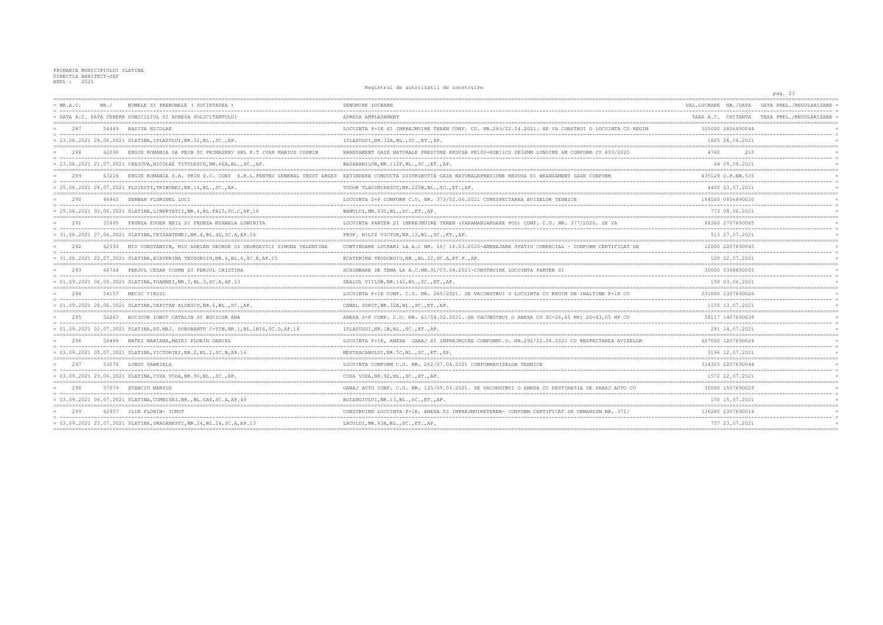PRIMARIA MUNICIPIULUI SLATINA DIRECTIA ARHITECT-SEF  $ANTII.$   $2021$ 

 $= NR.A.C.$ NR./ NUMELE SI PRENUMELE (SOCIETATEA) DENUMIRE LUCRARE . .... ------= DATA A.C. DATA CERERE DOMICILIUL SI ADRESA SOLICITANTULUI ADRESA AMPLASAMENT ----------------------------LOCUINTA P+1E SI IMPREJMUIRE TEREN CONF. CU. NR.293/22.04.2021. SE VA CONSTRUI O LOCUINTA CU REGIM 287 54449 BADITA NICOLAE  $= 23.08.2021 28.06.2021 \text{ SLATINA}, \text{ISLAZULUI}, \text{NR}.32, \text{BL.}, \text{SC.}, \text{AP.}$ ISLAZULUI, NR. 32A, BL., SC., ET., AP.  $====$ 62090 ENGIE ROMANIA SA PRIN SC PRIMASERV SRI P T TVAN MARIHS COSMIN BRANSAMENT GAZE NATURALE PRESIUNE REDUSA PE100-SDR11CU DE32MM LUNGIME 6M CONFORM CU 893/2020  $=$  288 = 23.08.2021 21.07.2021 CRAIOVA, NICOLAE TITULESCU, NR.66A, BL., SC., AP. BASARABILOR, NR. 112F, BL., SC., ET., AP.  $\frac{1}{2}$ 289 63226 ENGIE ROMANIA S.A. PRIN S.C. CONI S.R.L.PENTRU GENERAL TRUST ARGES EXTINDERE CONDUCTA DISTRIBUTIE GAZE NATURALEPRESIUNE REDUSA SI BRANSAMENT GAZE CONFORM  $= 25.08.2021 26.07.2021 \text{ PLOTESTI, TRIBUNEI, NR.14, BL., SC., AP.}$ TUDOR VLADIMIRESCU.NR.225B.BL..SC..ET..AP. 290 46965 SERBAN FLORINEL LUCI LOCUINTA D+P CONFORM C.U. NR. 373/02.06.2021 CURESPECTAREA AVIZELOR TEHNICE  $= 25.08.2021 02.06.2021 SLATINA, LIBERTATII, NR.4, BL.FA15, SC.C, AP.18$ BANULUI.NR.63C.BL..SC..ET..AP.  $== ==$ 35995 FRUNZA EUGEN NEIL SI FRUNZA MIHAELA LUMINITA LOCUINTA PARTER SI IMPREJMUIRE TEREN (FARAMANSARDARE POD) CONF. C.U. NR. 377/2020. SE VA  $= 291$ = 31.08.2021 27.04.2021 SLATINA, CRIZANTEMEI, NR. 4, BL. 4D, SC. A, AP. 16 PROF. BILTZ VICTOR, NR. 12, BL., SC., ET., AP.  $=$  $=$  $=$  $=$  $=$ 292 62593 MIII CONSTANTIN, MIII ADRIAN GEORGE SI GEORGEVICI SIMONA VALENTINA CONTINUARE LUCRARI LA A C NR 68/18 03 2020-AMENAJARE SPATIU COMERCIAL - CONFORM CERTIFICAT DE  $= 31.08.2021$  22.07.2021 SLATINA, ECATERINA TEODOROIU, NR. 6, BL. 6, SC. E, AP. 15 ECATERINA TEODOROIU.NR..BL.22.SC.A.ET.P..AP. 293 66764 PERJUL CEZAR COSMN SI PERJUL CRISTINA SCHIMBARE DE TEMA LA A.C.NR.91/05.04.2021-CONSTRUIRE LOCUINTA PARTER SI  $= 01.09.2021 06.08.2021 SIATTNA, TOAMNET, NR.5, BL.3, SC. A, AP.13$ DEALUL VIILOR.NR.142.BL..SC..ET..AP.  $= 294$ 54157 MECIC VIRGIL LOCUINTA P+1E CONF. C.U. NR. 289/2021. SE VACONSTRUI O LOCUINTA CU REGIM DE INALTIME P+1E CU  $= 01.09.2021 28.06.2021 \text{ SLATINA}, \text{CAPITAN ALDESCU}, \text{NR.6, BL., SC., AP.}$ CANAL SOPOT, NR. 32A, BL., SC., ET., AP.  $\frac{1}{2}$ ANEXA S+P CONF C II NR 61/04 02 2021 SE VACONSTRUI O ANEXA CU SC=26.65 MP: SD=43.05 MP CU  $= 295$ 56263 BOCICOR TONUT CATALIN SI BOCICOR ANA  $= -$ ---------------------------------= 01.09.2021 02.07.2021 SLATINA, SG.MAJ. DOROBANTU C-TIN, NR.1, BL.1B16, SC.D, AP.16 ISLAZULUI, NR.1B, BL., SC., ET., AP. 296 56489 MATEI MARIANA, MATEI FLORIN DANIEL LOCUINTA P+1E, ANEXA GARAJ SI IMPREJMUIRE CONFORMC.U. NR.292/22.04.2021 CU RESPECTAREA AVIZELOR  $= 03.09.2021 05.07.2021 SLATINA, VICTORIEI, NR.2, BL.2, SC.B, AP.16$ MESTEACANULUI, NR.5C, BL., SC., ET., AP.  $== == =$ LOCUINTA CONFORM C.U. NR. 262/07.04.2021 CONFORMAVIZELOR TEHNICE 2.97 53076 LUNGU GABRIELA  $= 03.09.2021 23.06.2021 \text{ SLATINA, CUZA VODA, NR.90, BL., SC., AP.}$ CUZA VODA, NR. 92, BL., SC., ET., AP.  $=$  = = = = = = = = = ----------------------------GARAJ AUTO CONF. C U NR. 125/09 03 2021. SE VACONSTRUI O ANEXA CU DESTINATIA DE GARAJ AUTO CU 298 57079 STANCIU MARIUS BOIANGIULUI, NR.13, BL., SC., ET., AP. = 03.09.2021 06.07.2021 SLATINA, CORNISEI, NR., BL.GA4, SC.A, AP. 48  $\frac{1}{2} = \frac{1}{2} = \frac{1}{2}$  $=$   $=$   $=$   $=$   $=$   $=$ 62957 ILIE FLORIN- IONUT CONSTRUIRE LOCUINTA P+1E, ANEXA SI IMPREJMUIRETEREN- CONFORM CERTIFICAT DE URBANISM NR. 372/ 299

Registrul de autorizatii de construire

 $= 03.09.2021 23.07.2021$  SLATINA, DRAGANESTI, NR. 24, BL. 24, SC. A, AP. 13 LACULUI.NR.83A.BL..SC..ET..AP.

|                                   | ---------------------                                                  | pag. 23 |                         |            |
|-----------------------------------|------------------------------------------------------------------------|---------|-------------------------|------------|
| VAL.LUCRARE                       | NR./DATA                                                               |         | DATA PREL./REGULARIZARE |            |
| TAXA A.C.                         | CHITANTA                                                               |         | TAXA PREL./REGULARIZARE |            |
|                                   | 305000 2806890044                                                      |         |                         | $=$        |
|                                   | -------------<br>1605 28.06.2021                                       |         |                         | $=$        |
| 4740                              | -----------------------------<br>210                                   |         |                         |            |
|                                   | 64 09.08.2021                                                          |         |                         |            |
|                                   | ;=======================<br>435129 O.P.NR.535                          |         |                         |            |
|                                   | -------------<br>4400 23.07.2021                                       |         |                         | $=$        |
| --------------------------------- | 154560 0806890030                                                      |         |                         | $=$<br>$=$ |
|                                   | .<br>773 08.06.2021                                                    |         |                         |            |
|                                   | 88360 2707890065                                                       |         |                         |            |
|                                   | .<br>513 27.07.2021                                                    |         |                         | $=$        |
|                                   | . = = = = = = = = = = = = = = = =<br>12000 2207890045                  |         |                         | $=$        |
|                                   | .<br>120 22.07.2021                                                    |         |                         | $=$        |
|                                   | -----------------------------<br>30000 0308890005                      |         |                         |            |
|                                   | ----------------<br>150 03.08.2021                                     |         |                         | $=$<br>$=$ |
|                                   | ============================<br>231000 1307890026                      |         |                         |            |
|                                   | . <u>_ _ _ _ _ _ _ _ _ _ _ _ _ _</u><br>1155 13.07.2021                |         |                         |            |
|                                   | 58117 1407890038                                                       |         | ==========              | $=$        |
|                                   | $- -$<br>291 14.07.2021                                                |         |                         |            |
|                                   | -------------------------------<br>607000 1207890024<br>-------------- |         |                         | $=$        |
|                                   | 3196 12.07.2021                                                        |         |                         | $=$        |
|                                   | 314305 2207890044<br>.                                                 |         |                         | $=$<br>$=$ |
|                                   | 1572 22.07.2021                                                        |         |                         |            |
|                                   | ------------------------------<br>30000 1507890029                     |         |                         |            |
|                                   | ----------------<br>150 15.07.2021                                     |         |                         | $=$        |
|                                   | =============================<br>136280 2307890016                     |         |                         | $=$        |
|                                   | 757 23.07.2021                                                         |         |                         |            |
|                                   |                                                                        |         |                         |            |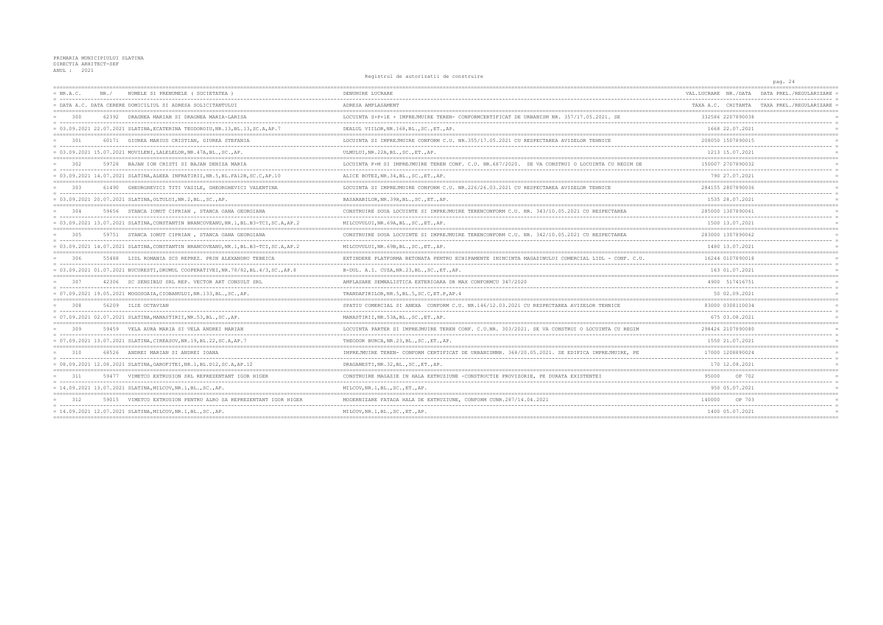PRIMARIA MUNICIPIULUI SLATINA<br>DIRECTIA ARHITECT-SEF<br>ANUL : 2021

Registrul de autorizatii de construire

|             |      |                                                                                      | negracial de autorizatili de constituit                                                           |                      | pag. 24                                    |
|-------------|------|--------------------------------------------------------------------------------------|---------------------------------------------------------------------------------------------------|----------------------|--------------------------------------------|
| $= NR.A.C.$ | NR./ | NUMELE SI PRENUMELE (SOCIETATEA)                                                     | DENUMIRE LUCRARE                                                                                  | VAL.LUCRARE NR./DATA | DATA PREL./REGULARIZARE                    |
|             |      | = DATA A.C. DATA CERERE DOMICILIUL SI ADRESA SOLICITANTULUI                          | ADRESA AMPLASAMENT                                                                                |                      | TAXA A.C. CHITANTA TAXA PREL./REGULARIZARE |
| 300         |      | 62392 DRAGNEA MARIAN SI DRAGNEA MARIA-LARISA                                         | LOCUINTA S+P+1E + IMPREJMUIRE TEREN- CONFORMCERTIFICAT DE URBANISM NR. 357/17.05.2021. SE         | 332586 2207890038    |                                            |
|             |      | = 03.09.2021 22.07.2021 SLATINA, ECATERINA TEODOROIU, NR.13, BL.13, SC.A, AP.7       | DEALUL VIILOR, NR. 168, BL., SC., ET., AP.                                                        | 1668 22.07.2021      |                                            |
| 301         |      | 60171 GIUREA MARIUS CRISTIAN, GIUREA STEFANIA                                        | LOCUINTA SI IMPREJMUIRE CONFORM C.U. NR.355/17.05.2021 CU RESPECTAREA AVIZELOR TEHNICE            | 208050 1507890015    |                                            |
|             |      | $= 03.09.2021$ 15.07.2021 MOVILENI, LALELELOR, NR. 47A, BL., SC., AP.                | ULMULUI, NR.22A, BL., SC., ET., AP.                                                               | 1213 15.07.2021      |                                            |
| 302         |      | 59728 BAJAN ION CRISTI SI BAJAN DENIZA MARIA                                         | LOCUINTA P+M SI IMPREJMUIRE TEREN CONF. C.U. NR.687/2020. SE VA CONSTRUI O LOCUINTA CU REGIM DE   | 150007 2707890032    |                                            |
|             |      | = 03.09.2021 14.07.2021 SLATINA, ALEEA INFRATIRII, NR.5, BL.FA12B, SC.C, AP.10       | ALICE BOTEZ, NR.34, BL., SC., ET., AP.                                                            | 790 27.07.2021       |                                            |
| 303         |      | 61490 GHEORGHEVICI TITI VASILE, GHEORGHEVICI VALENTINA                               | LOCUINTA SI IMPREJMUIRE CONFORM C.U. NR.226/26.03.2021 CU RESPECTAREA AVIZELOR TEHNICE            | 284155 2807890036    |                                            |
|             |      | $= 03.09.2021 20.07.2021 SLATINA, OLTULUI, NR.2, BL., SC., AP.$                      | BASARABILOR, NR. 39H, BL., SC., ET., AP.                                                          | 1535 28.07.2021      |                                            |
| 304         |      | 59656 STANCA IONUT CIPRIAN, STANCA OANA GEORGIANA                                    | CONSTRUIRE DOUA LOCUINTE SI IMPREJMUIRE TERENCONFORM C.U. NR. 343/10.05.2021 CU RESPECTAREA       | 285000 1307890061    |                                            |
|             |      | = 03.09.2021 13.07.2021 SLATINA, CONSTANTIN BRANCOVEANU, NR.1, BL.B3-TCI, SC.A, AP.2 | MILCOVULUI, NR. 69A, BL., SC., ET., AP.                                                           | 1500 13.07.2021      |                                            |
| 305         |      | 59751 STANCA IONUT CIPRIAN, STANCA OANA GEORGIANA                                    | CONSTRUIRE DOUA LOCUINTE SI IMPREJMUIRE TERENCONFORM C.U. NR. 342/10.05.2021 CU RESPECTAREA       | 283000 1307890062    |                                            |
|             |      | = 03.09.2021 14.07.2021 SLATINA, CONSTANTIN BRANCOVEANU, NR.1, BL.B3-TCI, SC.A, AP.2 | MILCOVULUI, NR. 69B, BL., SC., ET., AP.                                                           | 1480 13.07.2021      |                                            |
| 306         |      | 55488 LIDL ROMANIA SCS REPREZ. PRIN ALEXANDRU TEBEICA                                | EXTINDERE PLATFORMA BETONATA PENTRU ECHIPAMENTE ININCINTA MAGAZINULUI COMERCIAL LIDL - CONF. C.U. | 16244 0107890018     |                                            |
|             |      | = 03.09.2021 01.07.2021 BUCURESTI, DRUMUL COOPERATIVEI, NR.78/82, BL.4/3, SC., AP.8  | B-DUL. A.I. CUZA, NR.23, BL., SC., ET., AP.                                                       | 163 01.07.2021       |                                            |
| 307         |      | 42306 SC SENSIBLU SRL REP. VECTOR ART CONSULT SRL                                    | AMPLASARE SEMNALISTICA EXTERIOARA DR MAX CONFORMCU 347/2020                                       | 4900 517416751       |                                            |
|             |      | = 07.09.2021 19.05.2021 MOGOSOAIA, CIOBANULUI, NR.133, BL., SC., AP.                 | TRANDAFIRILOR, NR. 5, BL. 5, SC. C. ET. P. AP. 4                                                  | 50 02.09.2021        |                                            |
| 308         |      | 56209 ILIE OCTAVIAN                                                                  | SPATIU COMERCIAL SI ANEXA CONFORM C.U. NR.146/12.03.2021 CU RESPECTAREA AVIZELOR TEHNICE          | 83000 0308110034     |                                            |
|             |      | = 07.09.2021 02.07.2021 SLATINA, MANASTIRII, NR.53, BL., SC., AP.                    | MANASTIRII, NR.53A, BL., SC., ET., AP.                                                            | 675 03.08.2021       |                                            |
| 309         |      | 59459 VELA AURA MARIA SI VELA ANDREI MARIAN                                          | LOCUINTA PARTER SI IMPREJMUIRE TEREN CONF. C.U.NR. 303/2021. SE VA CONSTRUI O LOCUINTA CU REGIM   | 298426 2107890080    |                                            |
|             |      | = 07.09.2021 13.07.2021 SLATINA, CIREASOV, NR.19, BL.22, SC.A, AP.7                  | THEODOR BURCA, NR. 23, BL., SC., ET., AP.                                                         | 1550 21.07.2021      |                                            |
| 310         |      | 68526 ANDREI MARIAN SI ANDREI IOANA                                                  | IMPREJMUIRE TEREN- CONFORM CERTIFICAT DE URBANISMNR. 368/20.05.2021. SE EDIFICA IMPREJMUIRE, PE   | 17000 1208890024     |                                            |
|             |      | = 08.09.2021 12.08.2021 SLATINA, GAROFITEI, NR.1, BL.D12, SC.A, AP.12                | DRAGANESTI, NR.32, BL., SC., ET., AP.                                                             | 170 12.08.2021       |                                            |
| 311         |      | 59477 VIMETCO EXTRUSION SRL REPREZENTANT IGOR HIGER                                  | CONSTRUIRE MAGAZIE IN HALA EXTRUZIUNE -CONSTRUCTIE PROVIZORIE, PE DURATA EXISTENTEI               | 95000<br>OP 702      |                                            |
|             |      | = 14.09.2021 13.07.2021 SLATINA, MILCOV, NR.1, BL., SC., AP.                         | MILCOV, NR. 1, BL., SC., ET., AP.                                                                 | 950 05.07.2021       |                                            |
|             |      | 59015 VIMETCO EXTRUSION PENTRU ALRO SA REPREZENTANT IGOR HIGER                       | MODERNIZARE FATADA HALA DE EXTRUZIUNE, CONFORM CUNR.287/14.04.2021                                | 140000<br>OP 703     |                                            |
|             |      | $= 14.09.2021 12.07.2021 SLATINA, MILCOV, NR.1, BL., SC., AP.$                       | MILCOV, NR. 1, BL., SC., ET., AP.                                                                 | 1400 05.07.2021      |                                            |
|             |      |                                                                                      |                                                                                                   |                      |                                            |